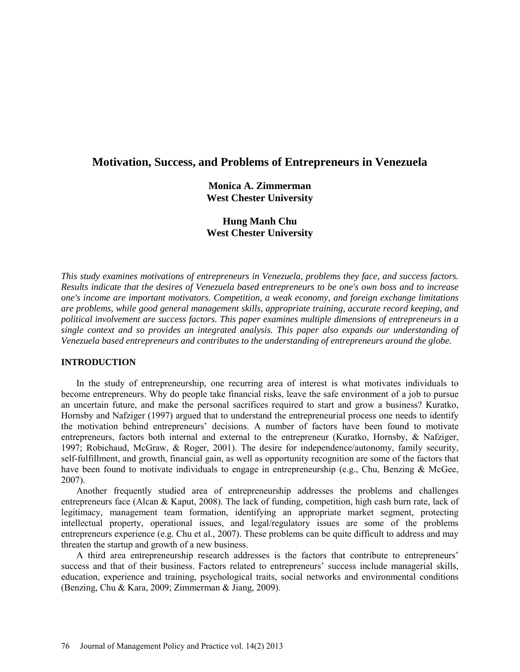# **Motivation, Success, and Problems of Entrepreneurs in Venezuela**

**Monica A. Zimmerman West Chester University**

**Hung Manh Chu West Chester University**

*This study examines motivations of entrepreneurs in Venezuela, problems they face, and success factors. Results indicate that the desires of Venezuela based entrepreneurs to be one's own boss and to increase one's income are important motivators. Competition, a weak economy, and foreign exchange limitations are problems, while good general management skills, appropriate training, accurate record keeping, and political involvement are success factors. This paper examines multiple dimensions of entrepreneurs in a single context and so provides an integrated analysis. This paper also expands our understanding of Venezuela based entrepreneurs and contributes to the understanding of entrepreneurs around the globe.*

# **INTRODUCTION**

In the study of entrepreneurship, one recurring area of interest is what motivates individuals to become entrepreneurs. Why do people take financial risks, leave the safe environment of a job to pursue an uncertain future, and make the personal sacrifices required to start and grow a business? Kuratko, Hornsby and Nafziger (1997) argued that to understand the entrepreneurial process one needs to identify the motivation behind entrepreneurs' decisions. A number of factors have been found to motivate entrepreneurs, factors both internal and external to the entrepreneur (Kuratko, Hornsby, & Nafziger, 1997; Robichaud, McGraw, & Roger, 2001). The desire for independence/autonomy, family security, self-fulfillment, and growth, financial gain, as well as opportunity recognition are some of the factors that have been found to motivate individuals to engage in entrepreneurship (e.g., Chu, Benzing & McGee, 2007).

Another frequently studied area of entrepreneurship addresses the problems and challenges entrepreneurs face (Alcan & Kaput, 2008). The lack of funding, competition, high cash burn rate, lack of legitimacy, management team formation, identifying an appropriate market segment, protecting intellectual property, operational issues, and legal/regulatory issues are some of the problems entrepreneurs experience (e.g. Chu et al., 2007). These problems can be quite difficult to address and may threaten the startup and growth of a new business.

A third area entrepreneurship research addresses is the factors that contribute to entrepreneurs' success and that of their business. Factors related to entrepreneurs' success include managerial skills, education, experience and training, psychological traits, social networks and environmental conditions (Benzing, Chu & Kara, 2009; Zimmerman & Jiang, 2009).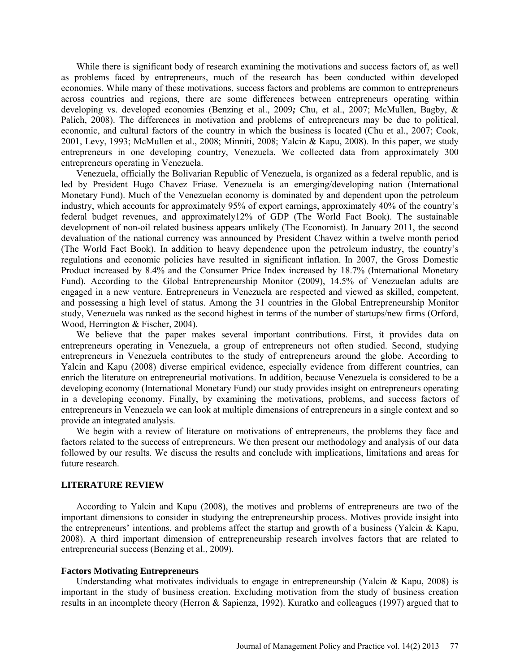While there is significant body of research examining the motivations and success factors of, as well as problems faced by entrepreneurs, much of the research has been conducted within developed economies. While many of these motivations, success factors and problems are common to entrepreneurs across countries and regions, there are some differences between entrepreneurs operating within developing vs. developed economies (Benzing et al., 2009*;* Chu, et al., 2007; McMullen, Bagby, & Palich, 2008). The differences in motivation and problems of entrepreneurs may be due to political, economic, and cultural factors of the country in which the business is located (Chu et al., 2007; Cook, 2001, Levy, 1993; McMullen et al., 2008; Minniti, 2008; Yalcin & Kapu, 2008). In this paper, we study entrepreneurs in one developing country, Venezuela. We collected data from approximately 300 entrepreneurs operating in Venezuela.

Venezuela, officially the Bolivarian Republic of Venezuela, is organized as a federal republic, and is led by President Hugo Chavez Friase. Venezuela is an emerging/developing nation (International Monetary Fund). Much of the Venezuelan economy is dominated by and dependent upon the petroleum industry, which accounts for approximately 95% of export earnings, approximately 40% of the country's federal budget revenues, and approximately12% of GDP (The World Fact Book). The sustainable development of non-oil related business appears unlikely (The Economist). In January 2011, the second devaluation of the national currency was announced by President Chavez within a twelve month period (The World Fact Book). In addition to heavy dependence upon the petroleum industry, the country's regulations and economic policies have resulted in significant inflation. In 2007, the Gross Domestic Product increased by 8.4% and the Consumer Price Index increased by 18.7% (International Monetary Fund). According to the Global Entrepreneurship Monitor (2009), 14.5% of Venezuelan adults are engaged in a new venture. Entrepreneurs in Venezuela are respected and viewed as skilled, competent, and possessing a high level of status. Among the 31 countries in the Global Entrepreneurship Monitor study, Venezuela was ranked as the second highest in terms of the number of startups/new firms (Orford, Wood, Herrington & Fischer, 2004).

We believe that the paper makes several important contributions. First, it provides data on entrepreneurs operating in Venezuela, a group of entrepreneurs not often studied. Second, studying entrepreneurs in Venezuela contributes to the study of entrepreneurs around the globe. According to Yalcin and Kapu (2008) diverse empirical evidence, especially evidence from different countries, can enrich the literature on entrepreneurial motivations. In addition, because Venezuela is considered to be a developing economy (International Monetary Fund) our study provides insight on entrepreneurs operating in a developing economy. Finally, by examining the motivations, problems, and success factors of entrepreneurs in Venezuela we can look at multiple dimensions of entrepreneurs in a single context and so provide an integrated analysis.

We begin with a review of literature on motivations of entrepreneurs, the problems they face and factors related to the success of entrepreneurs. We then present our methodology and analysis of our data followed by our results. We discuss the results and conclude with implications, limitations and areas for future research.

## **LITERATURE REVIEW**

According to Yalcin and Kapu (2008), the motives and problems of entrepreneurs are two of the important dimensions to consider in studying the entrepreneurship process. Motives provide insight into the entrepreneurs' intentions, and problems affect the startup and growth of a business (Yalcin & Kapu, 2008). A third important dimension of entrepreneurship research involves factors that are related to entrepreneurial success (Benzing et al., 2009).

#### **Factors Motivating Entrepreneurs**

Understanding what motivates individuals to engage in entrepreneurship (Yalcin & Kapu, 2008) is important in the study of business creation. Excluding motivation from the study of business creation results in an incomplete theory (Herron & Sapienza, 1992). Kuratko and colleagues (1997) argued that to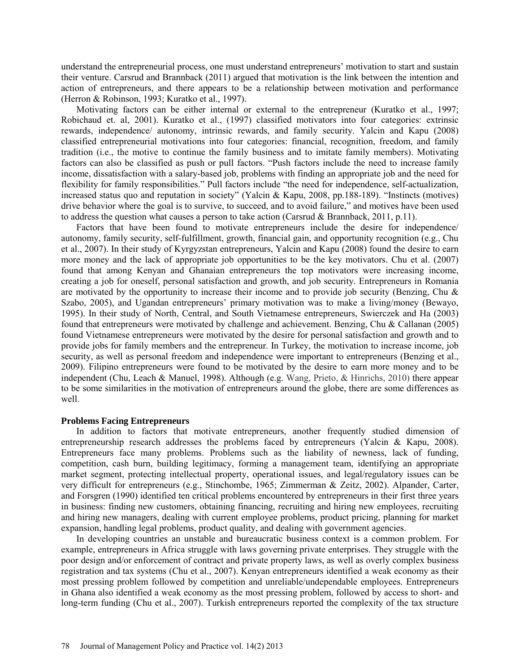understand the entrepreneurial process, one must understand entrepreneurs' motivation to start and sustain their venture. Carsrud and Brannback (2011) argued that motivation is the link between the intention and action of entrepreneurs, and there appears to be a relationship between motivation and performance (Herron & Robinson, 1993; Kuratko et al., 1997).

Motivating factors can be either internal or external to the entrepreneur (Kuratko et al., 1997; Robichaud et. al, 2001). Kuratko et al., (1997) classified motivators into four categories: extrinsic rewards, independence/ autonomy, intrinsic rewards, and family security. Yalcin and Kapu (2008) classified entrepreneurial motivations into four categories: financial, recognition, freedom, and family tradition (i.e., the motive to continue the family business and to imitate family members). Motivating factors can also be classified as push or pull factors. "Push factors include the need to increase family income, dissatisfaction with a salary-based job, problems with finding an appropriate job and the need for flexibility for family responsibilities." Pull factors include "the need for independence, self-actualization, increased status quo and reputation in society" (Yalcin & Kapu, 2008, pp.188-189). "Instincts (motives) drive behavior where the goal is to survive, to succeed, and to avoid failure," and motives have been used to address the question what causes a person to take action (Carsrud & Brannback, 2011, p.11).

Factors that have been found to motivate entrepreneurs include the desire for independence/ autonomy, family security, self-fulfillment, growth, financial gain, and opportunity recognition (e.g., Chu et al., 2007). In their study of Kyrgyzstan entrepreneurs, Yalcin and Kapu (2008) found the desire to earn more money and the lack of appropriate job opportunities to be the key motivators. Chu et al. (2007) found that among Kenyan and Ghanaian entrepreneurs the top motivators were increasing income, creating a job for oneself, personal satisfaction and growth, and job security. Entrepreneurs in Romania are motivated by the opportunity to increase their income and to provide job security (Benzing, Chu & Szabo, 2005), and Ugandan entrepreneurs' primary motivation was to make a living/money (Bewayo, 1995). In their study of North, Central, and South Vietnamese entrepreneurs, Swierczek and Ha (2003) found that entrepreneurs were motivated by challenge and achievement. Benzing, Chu & Callanan (2005) found Vietnamese entrepreneurs were motivated by the desire for personal satisfaction and growth and to provide jobs for family members and the entrepreneur. In Turkey, the motivation to increase income, job security, as well as personal freedom and independence were important to entrepreneurs (Benzing et al., 2009). Filipino entrepreneurs were found to be motivated by the desire to earn more money and to be independent (Chu, Leach & Manuel, 1998). Although (e.g. Wang, Prieto, & Hinrichs, 2010) there appear to be some similarities in the motivation of entrepreneurs around the globe, there are some differences as well.

#### **Problems Facing Entrepreneurs**

In addition to factors that motivate entrepreneurs, another frequently studied dimension of entrepreneurship research addresses the problems faced by entrepreneurs (Yalcin & Kapu, 2008). Entrepreneurs face many problems. Problems such as the liability of newness, lack of funding, competition, cash burn, building legitimacy, forming a management team, identifying an appropriate market segment, protecting intellectual property, operational issues, and legal/regulatory issues can be very difficult for entrepreneurs (e.g., Stinchombe, 1965; Zimmerman & Zeitz, 2002). Alpander, Carter, and Forsgren (1990) identified ten critical problems encountered by entrepreneurs in their first three years in business: finding new customers, obtaining financing, recruiting and hiring new employees, recruiting and hiring new managers, dealing with current employee problems, product pricing, planning for market expansion, handling legal problems, product quality, and dealing with government agencies.

In developing countries an unstable and bureaucratic business context is a common problem. For example, entrepreneurs in Africa struggle with laws governing private enterprises. They struggle with the poor design and/or enforcement of contract and private property laws, as well as overly complex business registration and tax systems (Chu et al., 2007). Kenyan entrepreneurs identified a weak economy as their most pressing problem followed by competition and unreliable/undependable employees. Entrepreneurs in Ghana also identified a weak economy as the most pressing problem, followed by access to short- and long-term funding (Chu et al., 2007). Turkish entrepreneurs reported the complexity of the tax structure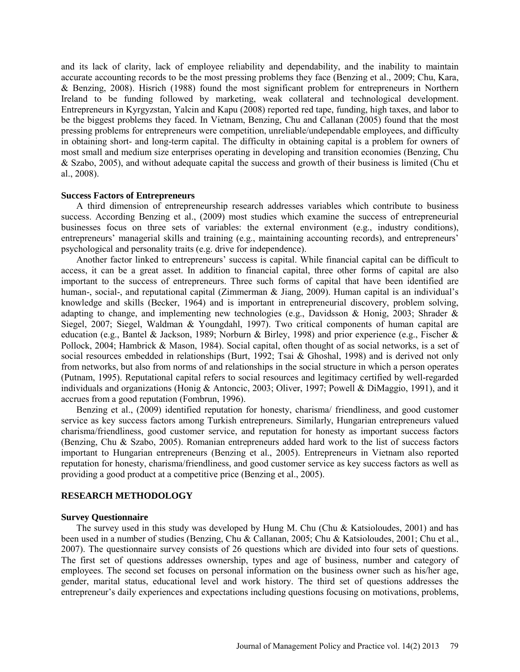and its lack of clarity, lack of employee reliability and dependability, and the inability to maintain accurate accounting records to be the most pressing problems they face (Benzing et al., 2009; Chu, Kara, & Benzing, 2008). Hisrich (1988) found the most significant problem for entrepreneurs in Northern Ireland to be funding followed by marketing, weak collateral and technological development. Entrepreneurs in Kyrgyzstan, Yalcin and Kapu (2008) reported red tape, funding, high taxes, and labor to be the biggest problems they faced. In Vietnam, Benzing, Chu and Callanan (2005) found that the most pressing problems for entrepreneurs were competition, unreliable/undependable employees, and difficulty in obtaining short- and long-term capital. The difficulty in obtaining capital is a problem for owners of most small and medium size enterprises operating in developing and transition economies (Benzing, Chu & Szabo, 2005), and without adequate capital the success and growth of their business is limited (Chu et al., 2008).

# **Success Factors of Entrepreneurs**

A third dimension of entrepreneurship research addresses variables which contribute to business success. According Benzing et al., (2009) most studies which examine the success of entrepreneurial businesses focus on three sets of variables: the external environment (e.g., industry conditions), entrepreneurs' managerial skills and training (e.g., maintaining accounting records), and entrepreneurs' psychological and personality traits (e.g. drive for independence).

Another factor linked to entrepreneurs' success is capital. While financial capital can be difficult to access, it can be a great asset. In addition to financial capital, three other forms of capital are also important to the success of entrepreneurs. Three such forms of capital that have been identified are human-, social-, and reputational capital (Zimmerman & Jiang, 2009). Human capital is an individual's knowledge and skills (Becker, 1964) and is important in entrepreneurial discovery, problem solving, adapting to change, and implementing new technologies (e.g., Davidsson & Honig, 2003; Shrader & Siegel, 2007; [Siegel, Waldman & Youngdahl, 1997\)](javascript:popRef(). Two critical components of human capital are education (e.g., Bantel & Jackson, 1989; Norburn & Birley, 1998) and prior experience (e.g., Fischer & Pollock, 2004; Hambrick & Mason, 1984). Social capital, often thought of as social networks, is a set of social resources embedded in relationships (Burt, 1992; Tsai & Ghoshal, 1998) and is derived not only from networks, but also from norms of and relationships in the social structure in which a person operates (Putnam, 1995). Reputational capital refers to social resources and legitimacy certified by well-regarded individuals and organizations (Honig & Antoncic, 2003; Oliver, 1997; Powell & DiMaggio, 1991), and it accrues from a good reputation (Fombrun, 1996).

Benzing et al., (2009) identified reputation for honesty, charisma/ friendliness, and good customer service as key success factors among Turkish entrepreneurs. Similarly, Hungarian entrepreneurs valued charisma/friendliness, good customer service, and reputation for honesty as important success factors (Benzing, Chu & Szabo, 2005). Romanian entrepreneurs added hard work to the list of success factors important to Hungarian entrepreneurs (Benzing et al., 2005). Entrepreneurs in Vietnam also reported reputation for honesty, charisma/friendliness, and good customer service as key success factors as well as providing a good product at a competitive price (Benzing et al., 2005).

## **RESEARCH METHODOLOGY**

#### **Survey Questionnaire**

The survey used in this study was developed by Hung M. Chu (Chu & Katsioloudes, 2001) and has been used in a number of studies (Benzing, Chu & Callanan, 2005; Chu & Katsioloudes, 2001; Chu et al., 2007). The questionnaire survey consists of 26 questions which are divided into four sets of questions. The first set of questions addresses ownership, types and age of business, number and category of employees. The second set focuses on personal information on the business owner such as his/her age, gender, marital status, educational level and work history. The third set of questions addresses the entrepreneur's daily experiences and expectations including questions focusing on motivations, problems,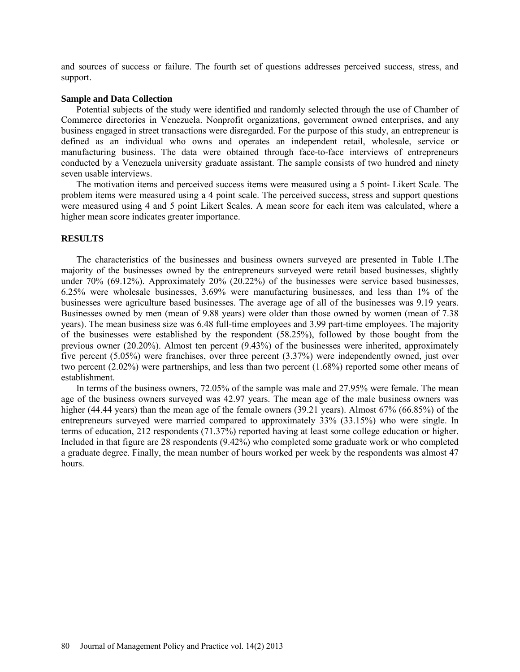and sources of success or failure. The fourth set of questions addresses perceived success, stress, and support.

#### **Sample and Data Collection**

Potential subjects of the study were identified and randomly selected through the use of Chamber of Commerce directories in Venezuela. Nonprofit organizations, government owned enterprises, and any business engaged in street transactions were disregarded. For the purpose of this study, an entrepreneur is defined as an individual who owns and operates an independent retail, wholesale, service or manufacturing business. The data were obtained through face-to-face interviews of entrepreneurs conducted by a Venezuela university graduate assistant. The sample consists of two hundred and ninety seven usable interviews.

The motivation items and perceived success items were measured using a 5 point- Likert Scale. The problem items were measured using a 4 point scale. The perceived success, stress and support questions were measured using 4 and 5 point Likert Scales. A mean score for each item was calculated, where a higher mean score indicates greater importance.

# **RESULTS**

The characteristics of the businesses and business owners surveyed are presented in Table 1.The majority of the businesses owned by the entrepreneurs surveyed were retail based businesses, slightly under 70% (69.12%). Approximately 20% (20.22%) of the businesses were service based businesses, 6.25% were wholesale businesses, 3.69% were manufacturing businesses, and less than 1% of the businesses were agriculture based businesses. The average age of all of the businesses was 9.19 years. Businesses owned by men (mean of 9.88 years) were older than those owned by women (mean of 7.38 years). The mean business size was 6.48 full-time employees and 3.99 part-time employees. The majority of the businesses were established by the respondent (58.25%), followed by those bought from the previous owner (20.20%). Almost ten percent (9.43%) of the businesses were inherited, approximately five percent (5.05%) were franchises, over three percent (3.37%) were independently owned, just over two percent (2.02%) were partnerships, and less than two percent (1.68%) reported some other means of establishment.

In terms of the business owners, 72.05% of the sample was male and 27.95% were female. The mean age of the business owners surveyed was 42.97 years. The mean age of the male business owners was higher (44.44 years) than the mean age of the female owners (39.21 years). Almost 67% (66.85%) of the entrepreneurs surveyed were married compared to approximately 33% (33.15%) who were single. In terms of education, 212 respondents (71.37%) reported having at least some college education or higher. Included in that figure are 28 respondents (9.42%) who completed some graduate work or who completed a graduate degree. Finally, the mean number of hours worked per week by the respondents was almost 47 hours.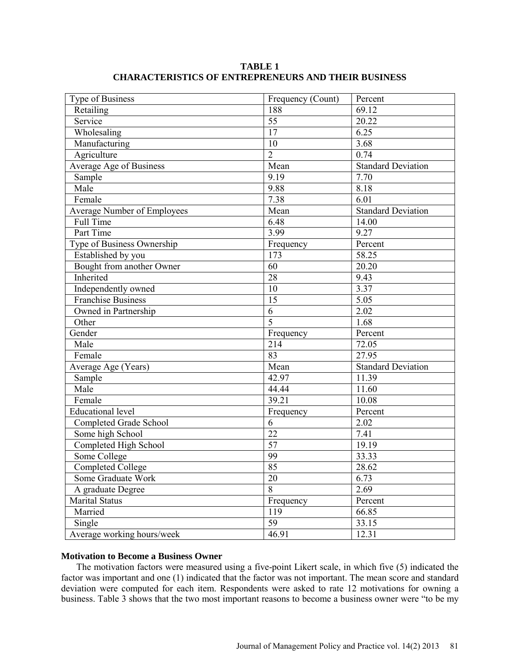**TABLE 1 CHARACTERISTICS OF ENTREPRENEURS AND THEIR BUSINESS**

| Type of Business                   | Frequency (Count) | Percent                   |  |
|------------------------------------|-------------------|---------------------------|--|
| Retailing                          | 188               | 69.12                     |  |
| Service                            | $\overline{55}$   | 20.22                     |  |
| Wholesaling                        | $\overline{17}$   | 6.25                      |  |
| Manufacturing                      | 10                | 3.68                      |  |
| Agriculture                        | $\overline{2}$    | 0.74                      |  |
| Average Age of Business            | Mean              | <b>Standard Deviation</b> |  |
| Sample                             | 9.19              | 7.70                      |  |
| Male                               | 9.88              | 8.18                      |  |
| Female                             | 7.38              | 6.01                      |  |
| <b>Average Number of Employees</b> | Mean              | <b>Standard Deviation</b> |  |
| Full Time                          | 6.48              | 14.00                     |  |
| Part Time                          | 3.99              | 9.27                      |  |
| Type of Business Ownership         | Frequency         | Percent                   |  |
| Established by you                 | 173               | 58.25                     |  |
| Bought from another Owner          | 60                | 20.20                     |  |
| Inherited                          | 28                | 9.43                      |  |
| Independently owned                | 10                | $\overline{3.37}$         |  |
| <b>Franchise Business</b>          | 15                | 5.05                      |  |
| Owned in Partnership               | 6                 | 2.02                      |  |
| Other                              | 5                 | 1.68                      |  |
| Gender                             | Frequency         | Percent                   |  |
| Male                               | 214               | $\overline{72.05}$        |  |
| Female                             | 83                | 27.95                     |  |
| Average Age (Years)                | Mean              | <b>Standard Deviation</b> |  |
| Sample                             | 42.97             | 11.39                     |  |
| Male                               | 44.44             | 11.60                     |  |
| Female                             | 39.21             | 10.08                     |  |
| <b>Educational level</b>           | Frequency         | Percent                   |  |
| Completed Grade School             | 6                 | 2.02                      |  |
| Some high School                   | $\overline{22}$   | 7.41                      |  |
| Completed High School              | $\overline{57}$   | 19.19                     |  |
| Some College                       | 99                | 33.33                     |  |
| <b>Completed College</b>           | $\overline{85}$   | 28.62                     |  |
| Some Graduate Work                 | 20                | 6.73                      |  |
| A graduate Degree                  | 8                 | 2.69                      |  |
| <b>Marital Status</b>              | Frequency         | Percent                   |  |
| Married                            | 119               | 66.85                     |  |
| Single                             | $\overline{59}$   | 33.15                     |  |
| Average working hours/week         | 46.91             | 12.31                     |  |

### **Motivation to Become a Business Owner**

The motivation factors were measured using a five-point Likert scale, in which five (5) indicated the factor was important and one (1) indicated that the factor was not important. The mean score and standard deviation were computed for each item. Respondents were asked to rate 12 motivations for owning a business. Table 3 shows that the two most important reasons to become a business owner were "to be my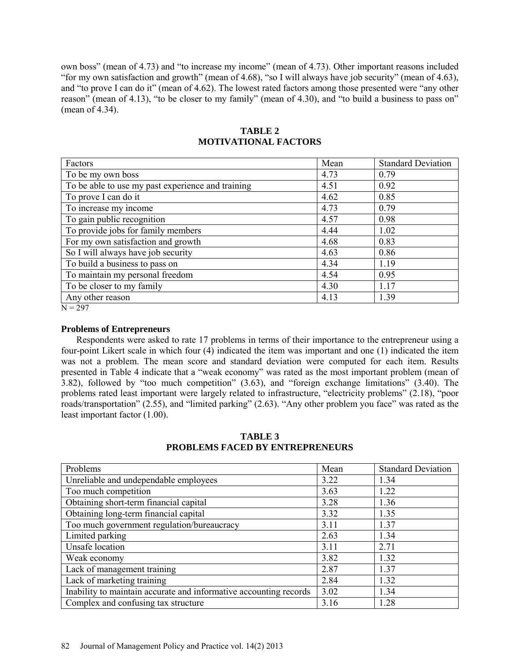own boss" (mean of 4.73) and "to increase my income" (mean of 4.73). Other important reasons included "for my own satisfaction and growth" (mean of 4.68), "so I will always have job security" (mean of 4.63), and "to prove I can do it" (mean of 4.62). The lowest rated factors among those presented were "any other reason" (mean of 4.13), "to be closer to my family" (mean of 4.30), and "to build a business to pass on" (mean of 4.34).

| Mean | <b>Standard Deviation</b> |
|------|---------------------------|
| 4.73 | 0.79                      |
| 4.51 | 0.92                      |
| 4.62 | 0.85                      |
| 4.73 | 0.79                      |
| 4.57 | 0.98                      |
| 4.44 | 1.02                      |
| 4.68 | 0.83                      |
| 4.63 | 0.86                      |
| 4.34 | 1.19                      |
| 4.54 | 0.95                      |
| 4.30 | 1.17                      |
| 4.13 | 1.39                      |
|      |                           |

**TABLE 2 MOTIVATIONAL FACTORS**

 $\overline{N} = 297$ 

# **Problems of Entrepreneurs**

Respondents were asked to rate 17 problems in terms of their importance to the entrepreneur using a four-point Likert scale in which four (4) indicated the item was important and one (1) indicated the item was not a problem. The mean score and standard deviation were computed for each item. Results presented in Table 4 indicate that a "weak economy" was rated as the most important problem (mean of 3.82), followed by "too much competition" (3.63), and "foreign exchange limitations" (3.40). The problems rated least important were largely related to infrastructure, "electricity problems" (2.18), "poor roads/transportation" (2.55), and "limited parking" (2.63). "Any other problem you face" was rated as the least important factor (1.00).

Problems Real Standard Deviation Near Standard Deviation Unreliable and undependable employees  $\begin{array}{|l|l|} \hline 3.22 & 1.34 \hline \end{array}$ Too much competition  $3.63$  1.22 Obtaining short-term financial capital  $3.28$  1.36 Obtaining long-term financial capital 3.32 1.35<br>Too much government regulation/bureaucracy 3.11 1.37 Too much government regulation/bureaucracy Limited parking 2.63 1.34<br>Unsafe location 2.71 2.71 Unsafe location 3.11 Weak economy 3.82 1.32 Lack of management training 2.87 1.37 Lack of marketing training 2.84 1.32 Inability to maintain accurate and informative accounting records | 3.02 | 1.34 Complex and confusing tax structure  $\begin{array}{|l|c|c|c|c|c|c|c|c|} \hline 3.16 & 1.28 \hline \end{array}$ 

**TABLE 3 PROBLEMS FACED BY ENTREPRENEURS**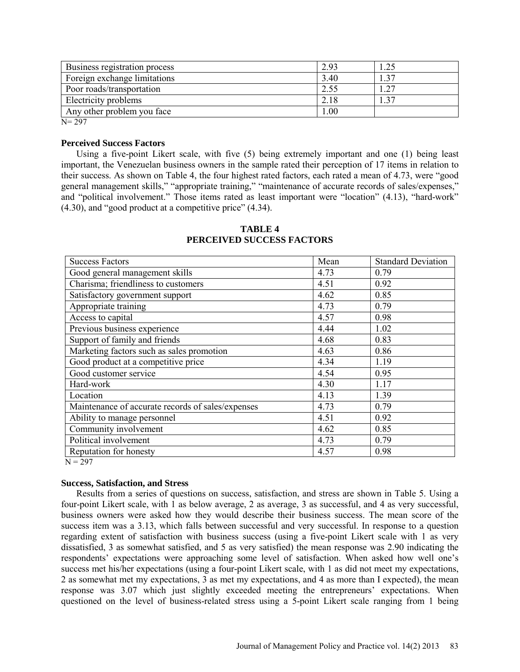| 2.93 |      |
|------|------|
| 3.40 | - 37 |
| 2.55 | .27  |
| 2.18 | 37   |
| 00.1 |      |
|      |      |

N= 297

#### **Perceived Success Factors**

Using a five-point Likert scale, with five (5) being extremely important and one (1) being least important, the Venezuelan business owners in the sample rated their perception of 17 items in relation to their success. As shown on Table 4, the four highest rated factors, each rated a mean of 4.73, were "good general management skills," "appropriate training," "maintenance of accurate records of sales/expenses," and "political involvement." Those items rated as least important were "location" (4.13), "hard-work" (4.30), and "good product at a competitive price" (4.34).

| <b>Success Factors</b>                            | Mean | <b>Standard Deviation</b> |
|---------------------------------------------------|------|---------------------------|
| Good general management skills                    | 4.73 | 0.79                      |
| Charisma; friendliness to customers               | 4.51 | 0.92                      |
| Satisfactory government support                   | 4.62 | 0.85                      |
| Appropriate training                              | 4.73 | 0.79                      |
| Access to capital                                 | 4.57 | 0.98                      |
| Previous business experience                      | 4.44 | 1.02                      |
| Support of family and friends                     | 4.68 | 0.83                      |
| Marketing factors such as sales promotion         | 4.63 | 0.86                      |
| Good product at a competitive price               | 4.34 | 1.19                      |
| Good customer service                             | 4.54 | 0.95                      |
| Hard-work                                         | 4.30 | 1.17                      |
| Location                                          | 4.13 | 1.39                      |
| Maintenance of accurate records of sales/expenses | 4.73 | 0.79                      |
| Ability to manage personnel                       | 4.51 | 0.92                      |
| Community involvement                             | 4.62 | 0.85                      |
| Political involvement                             | 4.73 | 0.79                      |
| Reputation for honesty                            | 4.57 | 0.98                      |
| $N = 297$                                         |      |                           |

# **TABLE 4 PERCEIVED SUCCESS FACTORS**

### **Success, Satisfaction, and Stress**

Results from a series of questions on success, satisfaction, and stress are shown in Table 5. Using a four-point Likert scale, with 1 as below average, 2 as average, 3 as successful, and 4 as very successful, business owners were asked how they would describe their business success. The mean score of the success item was a 3.13, which falls between successful and very successful. In response to a question regarding extent of satisfaction with business success (using a five-point Likert scale with 1 as very dissatisfied, 3 as somewhat satisfied, and 5 as very satisfied) the mean response was 2.90 indicating the respondents' expectations were approaching some level of satisfaction. When asked how well one's success met his/her expectations (using a four-point Likert scale, with 1 as did not meet my expectations, 2 as somewhat met my expectations, 3 as met my expectations, and 4 as more than I expected), the mean response was 3.07 which just slightly exceeded meeting the entrepreneurs' expectations. When questioned on the level of business-related stress using a 5-point Likert scale ranging from 1 being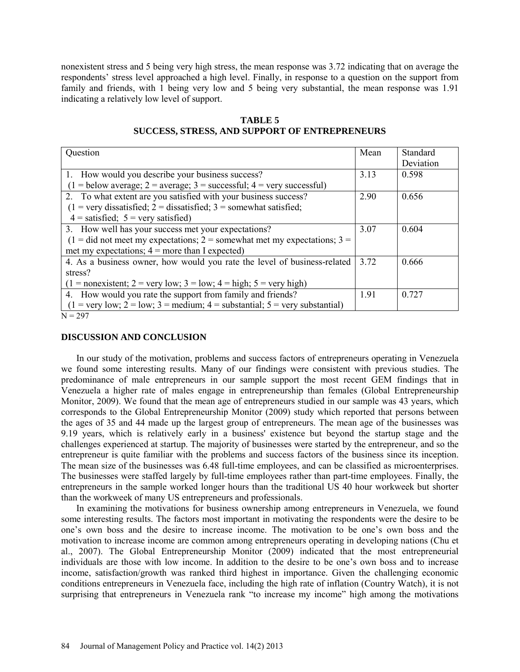nonexistent stress and 5 being very high stress, the mean response was 3.72 indicating that on average the respondents' stress level approached a high level. Finally, in response to a question on the support from family and friends, with 1 being very low and 5 being very substantial, the mean response was 1.91 indicating a relatively low level of support.

| Question                                                                                                        | Mean | Standard  |
|-----------------------------------------------------------------------------------------------------------------|------|-----------|
|                                                                                                                 |      | Deviation |
| 1. How would you describe your business success?                                                                | 3.13 | 0.598     |
| $(1 =$ below average; $2 =$ average; $3 =$ successful; $4 =$ very successful)                                   |      |           |
| 2. To what extent are you satisfied with your business success?                                                 | 2.90 | 0.656     |
| $(1 = \text{very dissatisfied}; 2 = \text{dissatisfied}; 3 = \text{somewhat satisfied};$                        |      |           |
| $4 =$ satisfied; $5 =$ very satisfied)                                                                          |      |           |
| 3. How well has your success met your expectations?                                                             | 3.07 | 0.604     |
| $(1 = did not meet my expectations; 2 = somewhat met my expectations; 3 =$                                      |      |           |
| met my expectations; $4 =$ more than I expected)                                                                |      |           |
| 4. As a business owner, how would you rate the level of business-related                                        | 3.72 | 0.666     |
| stress?                                                                                                         |      |           |
| $(1 = \text{nonexistence}; 2 = \text{very low}; 3 = \text{low}; 4 = \text{high}; 5 = \text{very high})$         |      |           |
| 4. How would you rate the support from family and friends?                                                      | 1.91 | 0.727     |
| $(1 = \text{very low}; 2 = \text{low}; 3 = \text{medium}; 4 = \text{substantial}; 5 = \text{very substantial})$ |      |           |
| $N = 297$                                                                                                       |      |           |

**TABLE 5 SUCCESS, STRESS, AND SUPPORT OF ENTREPRENEURS**

### **DISCUSSION AND CONCLUSION**

In our study of the motivation, problems and success factors of entrepreneurs operating in Venezuela we found some interesting results. Many of our findings were consistent with previous studies. The predominance of male entrepreneurs in our sample support the most recent GEM findings that in Venezuela a higher rate of males engage in entrepreneurship than females (Global Entrepreneurship Monitor, 2009). We found that the mean age of entrepreneurs studied in our sample was 43 years, which corresponds to the Global Entrepreneurship Monitor (2009) study which reported that persons between the ages of 35 and 44 made up the largest group of entrepreneurs. The mean age of the businesses was 9.19 years, which is relatively early in a business' existence but beyond the startup stage and the challenges experienced at startup. The majority of businesses were started by the entrepreneur, and so the entrepreneur is quite familiar with the problems and success factors of the business since its inception. The mean size of the businesses was 6.48 full-time employees, and can be classified as microenterprises. The businesses were staffed largely by full-time employees rather than part-time employees. Finally, the entrepreneurs in the sample worked longer hours than the traditional US 40 hour workweek but shorter than the workweek of many US entrepreneurs and professionals.

In examining the motivations for business ownership among entrepreneurs in Venezuela, we found some interesting results. The factors most important in motivating the respondents were the desire to be one's own boss and the desire to increase income. The motivation to be one's own boss and the motivation to increase income are common among entrepreneurs operating in developing nations (Chu et al., 2007). The Global Entrepreneurship Monitor (2009) indicated that the most entrepreneurial individuals are those with low income. In addition to the desire to be one's own boss and to increase income, satisfaction/growth was ranked third highest in importance. Given the challenging economic conditions entrepreneurs in Venezuela face, including the high rate of inflation (Country Watch), it is not surprising that entrepreneurs in Venezuela rank "to increase my income" high among the motivations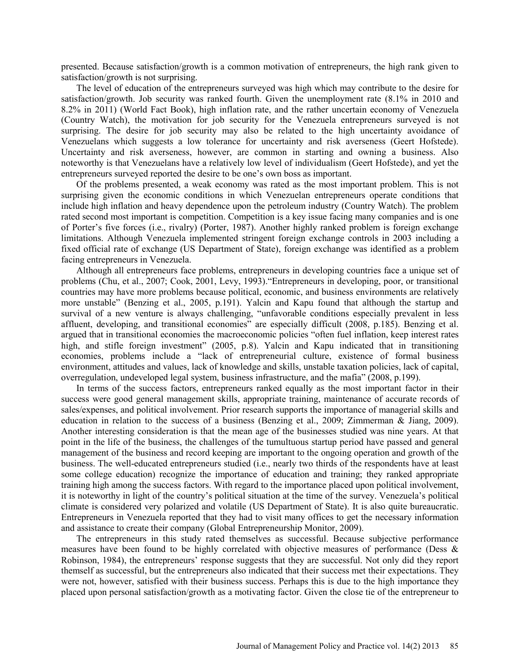presented. Because satisfaction/growth is a common motivation of entrepreneurs, the high rank given to satisfaction/growth is not surprising.

The level of education of the entrepreneurs surveyed was high which may contribute to the desire for satisfaction/growth. Job security was ranked fourth. Given the unemployment rate (8.1% in 2010 and 8.2% in 2011) (World Fact Book), high inflation rate, and the rather uncertain economy of Venezuela (Country Watch), the motivation for job security for the Venezuela entrepreneurs surveyed is not surprising. The desire for job security may also be related to the high uncertainty avoidance of Venezuelans which suggests a low tolerance for uncertainty and risk averseness (Geert Hofstede). Uncertainty and risk averseness, however, are common in starting and owning a business. Also noteworthy is that Venezuelans have a relatively low level of individualism (Geert Hofstede), and yet the entrepreneurs surveyed reported the desire to be one's own boss as important.

Of the problems presented, a weak economy was rated as the most important problem. This is not surprising given the economic conditions in which Venezuelan entrepreneurs operate conditions that include high inflation and heavy dependence upon the petroleum industry (Country Watch). The problem rated second most important is competition. Competition is a key issue facing many companies and is one of Porter's five forces (i.e., rivalry) (Porter, 1987). Another highly ranked problem is foreign exchange limitations. Although Venezuela implemented stringent foreign exchange controls in 2003 including a fixed official rate of exchange (US Department of State), foreign exchange was identified as a problem facing entrepreneurs in Venezuela.

Although all entrepreneurs face problems, entrepreneurs in developing countries face a unique set of problems (Chu, et al., 2007; Cook, 2001, Levy, 1993)."Entrepreneurs in developing, poor, or transitional countries may have more problems because political, economic, and business environments are relatively more unstable" (Benzing et al., 2005, p.191). Yalcin and Kapu found that although the startup and survival of a new venture is always challenging, "unfavorable conditions especially prevalent in less affluent, developing, and transitional economies" are especially difficult (2008, p.185). Benzing et al. argued that in transitional economies the macroeconomic policies "often fuel inflation, keep interest rates high, and stifle foreign investment" (2005, p.8). Yalcin and Kapu indicated that in transitioning economies, problems include a "lack of entrepreneurial culture, existence of formal business environment, attitudes and values, lack of knowledge and skills, unstable taxation policies, lack of capital, overregulation, undeveloped legal system, business infrastructure, and the mafia" (2008, p.199).

In terms of the success factors, entrepreneurs ranked equally as the most important factor in their success were good general management skills, appropriate training, maintenance of accurate records of sales/expenses, and political involvement. Prior research supports the importance of managerial skills and education in relation to the success of a business (Benzing et al., 2009; Zimmerman & Jiang, 2009). Another interesting consideration is that the mean age of the businesses studied was nine years. At that point in the life of the business, the challenges of the tumultuous startup period have passed and general management of the business and record keeping are important to the ongoing operation and growth of the business. The well-educated entrepreneurs studied (i.e., nearly two thirds of the respondents have at least some college education) recognize the importance of education and training; they ranked appropriate training high among the success factors. With regard to the importance placed upon political involvement, it is noteworthy in light of the country's political situation at the time of the survey. Venezuela's political climate is considered very polarized and volatile (US Department of State). It is also quite bureaucratic. Entrepreneurs in Venezuela reported that they had to visit many offices to get the necessary information and assistance to create their company (Global Entrepreneurship Monitor, 2009).

The entrepreneurs in this study rated themselves as successful. Because subjective performance measures have been found to be highly correlated with objective measures of performance (Dess & Robinson, 1984), the entrepreneurs' response suggests that they are successful. Not only did they report themself as successful, but the entrepreneurs also indicated that their success met their expectations. They were not, however, satisfied with their business success. Perhaps this is due to the high importance they placed upon personal satisfaction/growth as a motivating factor. Given the close tie of the entrepreneur to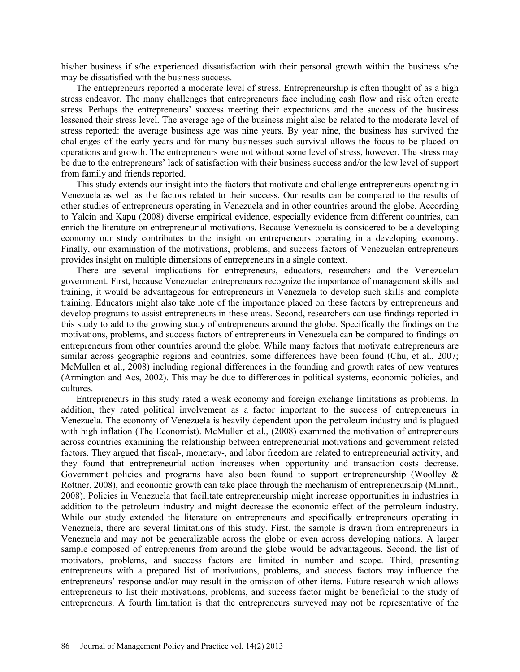his/her business if s/he experienced dissatisfaction with their personal growth within the business s/he may be dissatisfied with the business success.

The entrepreneurs reported a moderate level of stress. Entrepreneurship is often thought of as a high stress endeavor. The many challenges that entrepreneurs face including cash flow and risk often create stress. Perhaps the entrepreneurs' success meeting their expectations and the success of the business lessened their stress level. The average age of the business might also be related to the moderate level of stress reported: the average business age was nine years. By year nine, the business has survived the challenges of the early years and for many businesses such survival allows the focus to be placed on operations and growth. The entrepreneurs were not without some level of stress, however. The stress may be due to the entrepreneurs' lack of satisfaction with their business success and/or the low level of support from family and friends reported.

This study extends our insight into the factors that motivate and challenge entrepreneurs operating in Venezuela as well as the factors related to their success. Our results can be compared to the results of other studies of entrepreneurs operating in Venezuela and in other countries around the globe. According to Yalcin and Kapu (2008) diverse empirical evidence, especially evidence from different countries, can enrich the literature on entrepreneurial motivations. Because Venezuela is considered to be a developing economy our study contributes to the insight on entrepreneurs operating in a developing economy. Finally, our examination of the motivations, problems, and success factors of Venezuelan entrepreneurs provides insight on multiple dimensions of entrepreneurs in a single context.

There are several implications for entrepreneurs, educators, researchers and the Venezuelan government. First, because Venezuelan entrepreneurs recognize the importance of management skills and training, it would be advantageous for entrepreneurs in Venezuela to develop such skills and complete training. Educators might also take note of the importance placed on these factors by entrepreneurs and develop programs to assist entrepreneurs in these areas. Second, researchers can use findings reported in this study to add to the growing study of entrepreneurs around the globe. Specifically the findings on the motivations, problems, and success factors of entrepreneurs in Venezuela can be compared to findings on entrepreneurs from other countries around the globe. While many factors that motivate entrepreneurs are similar across geographic regions and countries, some differences have been found (Chu, et al., 2007; McMullen et al., 2008) including regional differences in the founding and growth rates of new ventures (Armington and Acs, 2002). This may be due to differences in political systems, economic policies, and cultures.

Entrepreneurs in this study rated a weak economy and foreign exchange limitations as problems. In addition, they rated political involvement as a factor important to the success of entrepreneurs in Venezuela. The economy of Venezuela is heavily dependent upon the petroleum industry and is plagued with high inflation (The Economist). McMullen et al., (2008) examined the motivation of entrepreneurs across countries examining the relationship between entrepreneurial motivations and government related factors. They argued that fiscal-, monetary-, and labor freedom are related to entrepreneurial activity, and they found that entrepreneurial action increases when opportunity and transaction costs decrease. Government policies and programs have also been found to support entrepreneurship (Woolley & Rottner, 2008), and economic growth can take place through the mechanism of entrepreneurship (Minniti, 2008). Policies in Venezuela that facilitate entrepreneurship might increase opportunities in industries in addition to the petroleum industry and might decrease the economic effect of the petroleum industry. While our study extended the literature on entrepreneurs and specifically entrepreneurs operating in Venezuela, there are several limitations of this study. First, the sample is drawn from entrepreneurs in Venezuela and may not be generalizable across the globe or even across developing nations. A larger sample composed of entrepreneurs from around the globe would be advantageous. Second, the list of motivators, problems, and success factors are limited in number and scope. Third, presenting entrepreneurs with a prepared list of motivations, problems, and success factors may influence the entrepreneurs' response and/or may result in the omission of other items. Future research which allows entrepreneurs to list their motivations, problems, and success factor might be beneficial to the study of entrepreneurs. A fourth limitation is that the entrepreneurs surveyed may not be representative of the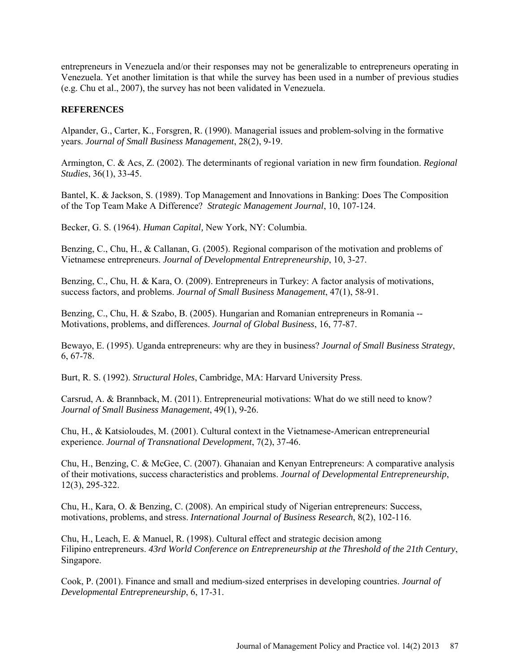entrepreneurs in Venezuela and/or their responses may not be generalizable to entrepreneurs operating in Venezuela. Yet another limitation is that while the survey has been used in a number of previous studies (e.g. Chu et al., 2007), the survey has not been validated in Venezuela.

# **REFERENCES**

Alpander, G., Carter, K., Forsgren, R. (1990). Managerial issues and problem-solving in the formative years. *Journal of Small Business Management*, 28(2), 9-19.

Armington, C. & Acs, Z. (2002). The determinants of regional variation in new firm foundation. *Regional Studies*, 36(1), 33-45.

Bantel, K. & Jackson, S. (1989). Top Management and Innovations in Banking: Does The Composition of the Top Team Make A Difference? *Strategic Management Journal*, 10, 107-124.

Becker, G. S. (1964). *Human Capital,* New York, NY: Columbia.

Benzing, C., Chu, H., & Callanan, G. (2005). Regional comparison of the motivation and problems of Vietnamese entrepreneurs. *Journal of Developmental Entrepreneurship*, 10, 3-27.

Benzing, C., Chu, H. & Kara, O. (2009). Entrepreneurs in Turkey: A factor analysis of motivations, success factors, and problems. *Journal of Small Business Management*, 47(1), 58-91.

Benzing, C., Chu, H. & Szabo, B. (2005). Hungarian and Romanian entrepreneurs in Romania --Motivations, problems, and differences. *Journal of Global Business*, 16, 77-87.

Bewayo, E. (1995). Uganda entrepreneurs: why are they in business? *Journal of Small Business Strategy*, 6, 67-78.

Burt, R. S. (1992). *Structural Holes*, Cambridge, MA: Harvard University Press.

Carsrud, A. & Brannback, M. (2011). Entrepreneurial motivations: What do we still need to know? *Journal of Small Business Management*, 49(1), 9-26.

Chu, H., & Katsioloudes, M. (2001). Cultural context in the Vietnamese-American entrepreneurial experience. *Journal of Transnational Development*, 7(2), 37-46.

Chu, H., Benzing, C. & McGee, C. (2007). Ghanaian and Kenyan Entrepreneurs: A comparative analysis of their motivations, success characteristics and problems. *Journal of Developmental Entrepreneurship*, 12(3), 295-322.

Chu, H., Kara, O. & Benzing, C. (2008). An empirical study of Nigerian entrepreneurs: Success, motivations, problems, and stress. *International Journal of Business Research*, 8(2), 102-116.

Chu, H., Leach, E. & Manuel, R. (1998). Cultural effect and strategic decision among Filipino entrepreneurs. *43rd World Conference on Entrepreneurship at the Threshold of the 21th Century*, Singapore.

Cook, P. (2001). Finance and small and medium-sized enterprises in developing countries. *Journal of Developmental Entrepreneurship*, 6, 17-31.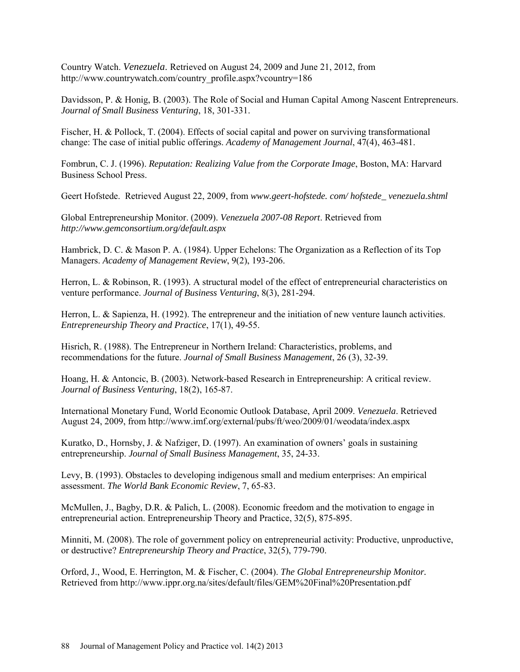Country Watch. *Venezuela*. Retrieved on August 24, 2009 and June 21, 2012, from http://www.countrywatch.com/country\_profile.aspx?vcountry=186

Davidsson, P. & Honig, B. (2003). The Role of Social and Human Capital Among Nascent Entrepreneurs. *Journal of Small Business Venturing*, 18, 301-331.

Fischer, H. & Pollock, T. (2004). Effects of social capital and power on surviving transformational change: The case of initial public offerings. *Academy of Management Journal*, 47(4), 463-481.

Fombrun, C. J. (1996). *Reputation: Realizing Value from the Corporate Image*, Boston, MA: Harvard Business School Press.

Geert Hofstede. Retrieved August 22, 2009, from *www.geert-hofstede. com/ hofstede\_ venezuela.shtml*

Global Entrepreneurship Monitor. (2009). *Venezuela 2007-08 Report*. Retrieved from *<http://www.gemconsortium.org/default.aspx>*

Hambrick, D. C. & Mason P. A. (1984). Upper Echelons: The Organization as a Reflection of its Top Managers. *Academy of Management Review*, 9(2), 193-206.

Herron, L. & Robinson, R. (1993). A structural model of the effect of entrepreneurial characteristics on venture performance. *Journal of Business Venturing*, 8(3), 281-294.

Herron, L. & Sapienza, H. (1992). The entrepreneur and the initiation of new venture launch activities. *Entrepreneurship Theory and Practice*, 17(1), 49-55.

Hisrich, R. (1988). [The Entrepreneur in Northern Ireland: Characteristics, problems, and](http://web.ebscohost.com/ehost/viewarticle?data=dGJyMPPp44rp2%2fdV0%2bnjisfk5Ie46bFRr6yuSbak63nn5Kx95uXxjL6qrUmupbBIrq%2beTLirt1KuqZ5oy5zyit%2fk8Xnh6ueH7N%2fiVaurt060qa9KsKmkhN%2fk5VXj5KR84LPgjeac8nnls79mpNfsVbOotE60qLI%2b5OXwhd%2fqu37z4uqM4%2b7y&hid=106)  [recommendations for the future.](http://web.ebscohost.com/ehost/viewarticle?data=dGJyMPPp44rp2%2fdV0%2bnjisfk5Ie46bFRr6yuSbak63nn5Kx95uXxjL6qrUmupbBIrq%2beTLirt1KuqZ5oy5zyit%2fk8Xnh6ueH7N%2fiVaurt060qa9KsKmkhN%2fk5VXj5KR84LPgjeac8nnls79mpNfsVbOotE60qLI%2b5OXwhd%2fqu37z4uqM4%2b7y&hid=106) *Journal of Small Business Management*, 26 (3), 32-39.

Hoang, H. & Antoncic, B. (2003). Network-based Research in Entrepreneurship: A critical review. *Journal of Business Venturing*, 18(2), 165-87.

International Monetary Fund, World Economic Outlook Database, April 2009. *Venezuela*. Retrieved August 24, 2009, fro[m http://www.imf.org/external/pubs/ft/weo/2009/01/weodata/index.aspx](http://www.imf.org/external/pubs/ft/weo/2009/01/weodata/index.aspx)

Kuratko, D., Hornsby, J. & Nafziger, D. (1997). An examination of owners' goals in sustaining entrepreneurship. *Journal of Small Business Management*, 35, 24-33.

Levy, B. (1993). Obstacles to developing indigenous small and medium enterprises: An empirical assessment. *The World Bank Economic Review*, 7, 65-83.

McMullen, J., Bagby, D.R. & Palich, L. (2008). Economic freedom and the motivation to engage in entrepreneurial action. Entrepreneurship Theory and Practice, 32(5), 875-895.

Minniti, M. (2008). The role of government policy on entrepreneurial activity: Productive, unproductive, or destructive? *Entrepreneurship Theory and Practice*, 32(5), 779-790.

Orford, J., Wood, E. Herrington, M. & Fischer, C. (2004). *The Global Entrepreneurship Monitor.* Retrieved from http://www.ippr.org.na/sites/default/files/GEM%20Final%20Presentation.pdf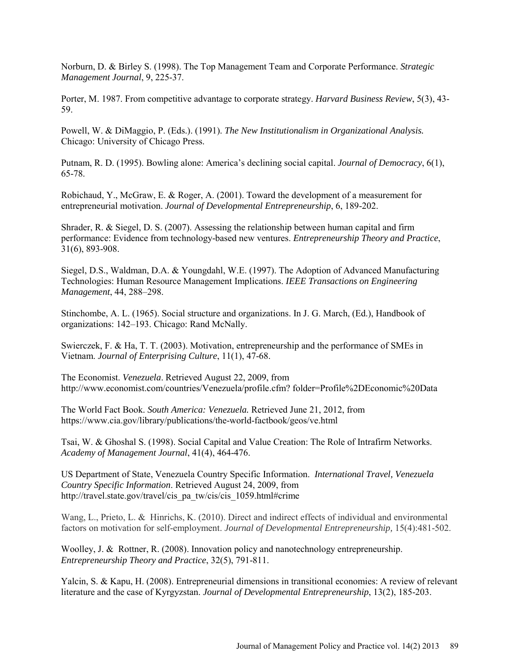Norburn, D. & Birley S. (1998). The Top Management Team and Corporate Performance. *Strategic Management Journal*, 9, 225-37.

Porter, M. 1987. From competitive advantage to corporate strategy. *Harvard Business Review*, 5(3), 43- 59.

Powell, W. & DiMaggio, P. (Eds.). (1991). *The New Institutionalism in Organizational Analysis.* Chicago: University of Chicago Press.

Putnam, R. D. (1995). Bowling alone: America's declining social capital. *Journal of Democracy*, 6(1), 65-78.

Robichaud, Y., McGraw, E. & Roger, A. (2001). Toward the development of a measurement for entrepreneurial motivation. *Journal of Developmental Entrepreneurship*, 6, 189-202.

Shrader, R. & Siegel, D. S. (2007). Assessing the relationship between human capital and firm performance: Evidence from technology-based new ventures. *Entrepreneurship Theory and Practice*, 31(6), 893-908.

Siegel, D.S., Waldman, D.A. & Youngdahl, W.E. (1997). The Adoption of Advanced Manufacturing Technologies: Human Resource Management Implications. *IEEE Transactions on Engineering Management*, 44, 288–298.

Stinchombe, A. L. (1965). Social structure and organizations. In J. G. March, (Ed.), Handbook of organizations: 142–193. Chicago: Rand McNally.

Swierczek, F. & Ha, T. T. (2003). Motivation, entrepreneurship and the performance of SMEs in Vietnam. *Journal of Enterprising Culture*, 11(1), 47-68.

The Economist. *Venezuela*. Retrieved August 22, 2009, from [http://www.economist.com/countries/Venezuela/profile.cfm? folder=Profile%2DEconomic%20Data](http://www.economist.com/countries/Venezuela/profile.cfm?%20folder=Profile%2DEconomic%20Data)

The World Fact Book. *South America: Venezuela.* Retrieved June 21, 2012, from https://www.cia.gov/library/publications/the-world-factbook/geos/ve.html

Tsai, W. & Ghoshal S. (1998). Social Capital and Value Creation: The Role of Intrafirm Networks. *Academy of Management Journal*, 41(4), 464-476.

US Department of State, Venezuela Country Specific Information. *International Travel, Venezuela Country Specific Information*. Retrieved August 24, 2009, from http://travel.state.gov/travel/cis\_pa\_tw/cis/cis\_1059.html#crime

Wang, L., Prieto, L. & Hinrichs, K. (2010). Direct and indirect effects of individual and environmental factors on motivation for self-employment. *Journal of Developmental Entrepreneurship,* 15(4):481-502.

Woolley, J. & Rottner, R. (2008). Innovation policy and nanotechnology entrepreneurship. *Entrepreneurship Theory and Practice*, 32(5), 791-811.

Yalcin, S. & Kapu, H. (2008). Entrepreneurial dimensions in transitional economies: A review of relevant literature and the case of Kyrgyzstan. *Journal of Developmental Entrepreneurship*, 13(2), 185-203.